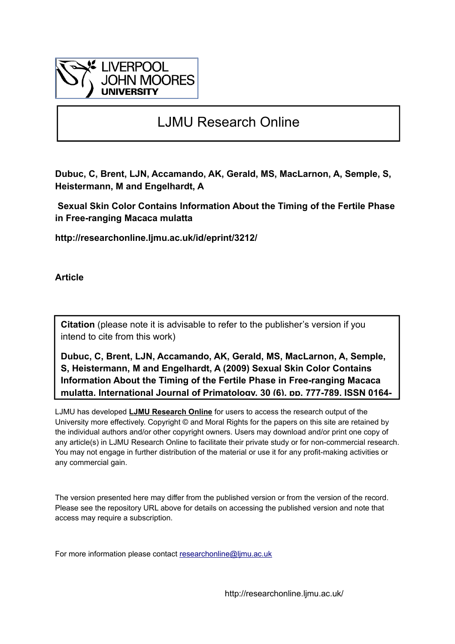

# LJMU Research Online

**Dubuc, C, Brent, LJN, Accamando, AK, Gerald, MS, MacLarnon, A, Semple, S, Heistermann, M and Engelhardt, A**

 **Sexual Skin Color Contains Information About the Timing of the Fertile Phase in Free-ranging Macaca mulatta**

**http://researchonline.ljmu.ac.uk/id/eprint/3212/**

**Article**

**Citation** (please note it is advisable to refer to the publisher's version if you intend to cite from this work)

**Dubuc, C, Brent, LJN, Accamando, AK, Gerald, MS, MacLarnon, A, Semple, S, Heistermann, M and Engelhardt, A (2009) Sexual Skin Color Contains Information About the Timing of the Fertile Phase in Free-ranging Macaca mulatta. International Journal of Primatology, 30 (6). pp. 777-789. ISSN 0164-**

LJMU has developed **[LJMU Research Online](http://researchonline.ljmu.ac.uk/)** for users to access the research output of the University more effectively. Copyright © and Moral Rights for the papers on this site are retained by the individual authors and/or other copyright owners. Users may download and/or print one copy of any article(s) in LJMU Research Online to facilitate their private study or for non-commercial research. You may not engage in further distribution of the material or use it for any profit-making activities or any commercial gain.

The version presented here may differ from the published version or from the version of the record. Please see the repository URL above for details on accessing the published version and note that access may require a subscription.

For more information please contact researchonline@limu.ac.uk

http://researchonline.ljmu.ac.uk/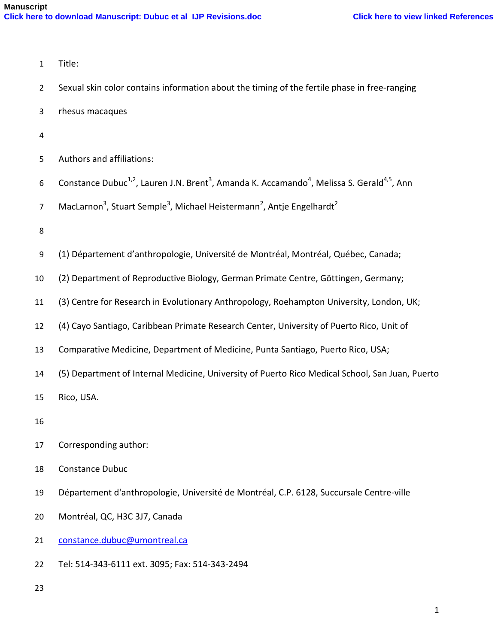| $\mathbf{1}$   | Title:                                                                                                                                      |
|----------------|---------------------------------------------------------------------------------------------------------------------------------------------|
| $\overline{2}$ | Sexual skin color contains information about the timing of the fertile phase in free-ranging                                                |
| 3              | rhesus macaques                                                                                                                             |
| $\overline{4}$ |                                                                                                                                             |
| 5              | Authors and affiliations:                                                                                                                   |
| 6              | Constance Dubuc <sup>1,2</sup> , Lauren J.N. Brent <sup>3</sup> , Amanda K. Accamando <sup>4</sup> , Melissa S. Gerald <sup>4,5</sup> , Ann |
| $\overline{7}$ | MacLarnon <sup>3</sup> , Stuart Semple <sup>3</sup> , Michael Heistermann <sup>2</sup> , Antje Engelhardt <sup>2</sup>                      |
| 8              |                                                                                                                                             |
| 9              | (1) Département d'anthropologie, Université de Montréal, Montréal, Québec, Canada;                                                          |
| 10             | (2) Department of Reproductive Biology, German Primate Centre, Göttingen, Germany;                                                          |
| 11             | (3) Centre for Research in Evolutionary Anthropology, Roehampton University, London, UK;                                                    |
| 12             | (4) Cayo Santiago, Caribbean Primate Research Center, University of Puerto Rico, Unit of                                                    |
| 13             | Comparative Medicine, Department of Medicine, Punta Santiago, Puerto Rico, USA;                                                             |
| 14             | (5) Department of Internal Medicine, University of Puerto Rico Medical School, San Juan, Puerto                                             |
| 15             | Rico, USA.                                                                                                                                  |
| 16             |                                                                                                                                             |
| 17             | Corresponding author:                                                                                                                       |
| 18             | <b>Constance Dubuc</b>                                                                                                                      |
| 19             | Département d'anthropologie, Université de Montréal, C.P. 6128, Succursale Centre-ville                                                     |
| 20             | Montréal, QC, H3C 3J7, Canada                                                                                                               |
| 21             | constance.dubuc@umontreal.ca                                                                                                                |
| 22             | Tel: 514-343-6111 ext. 3095; Fax: 514-343-2494                                                                                              |
| 23             |                                                                                                                                             |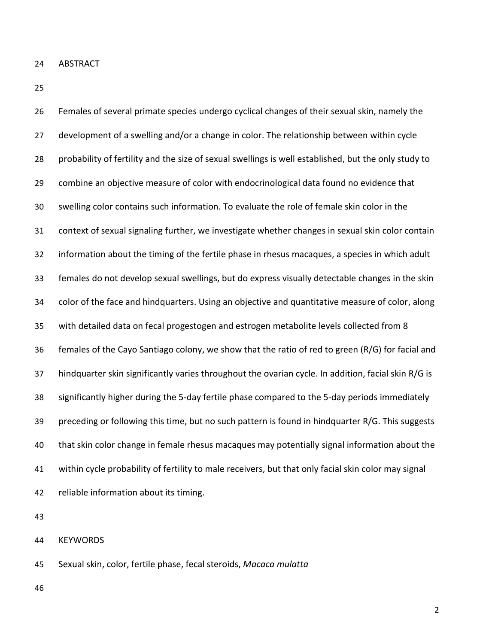ABSTRACT

 Females of several primate species undergo cyclical changes of their sexual skin, namely the 27 development of a swelling and/or a change in color. The relationship between within cycle probability of fertility and the size of sexual swellings is well established, but the only study to combine an objective measure of color with endocrinological data found no evidence that swelling color contains such information. To evaluate the role of female skin color in the context of sexual signaling further, we investigate whether changes in sexual skin color contain information about the timing of the fertile phase in rhesus macaques, a species in which adult females do not develop sexual swellings, but do express visually detectable changes in the skin color of the face and hindquarters. Using an objective and quantitative measure of color, along with detailed data on fecal progestogen and estrogen metabolite levels collected from 8 females of the Cayo Santiago colony, we show that the ratio of red to green (R/G) for facial and hindquarter skin significantly varies throughout the ovarian cycle. In addition, facial skin R/G is significantly higher during the 5-day fertile phase compared to the 5-day periods immediately 39 preceding or following this time, but no such pattern is found in hindquarter R/G. This suggests that skin color change in female rhesus macaques may potentially signal information about the within cycle probability of fertility to male receivers, but that only facial skin color may signal reliable information about its timing.

KEYWORDS

Sexual skin, color, fertile phase, fecal steroids, *Macaca mulatta*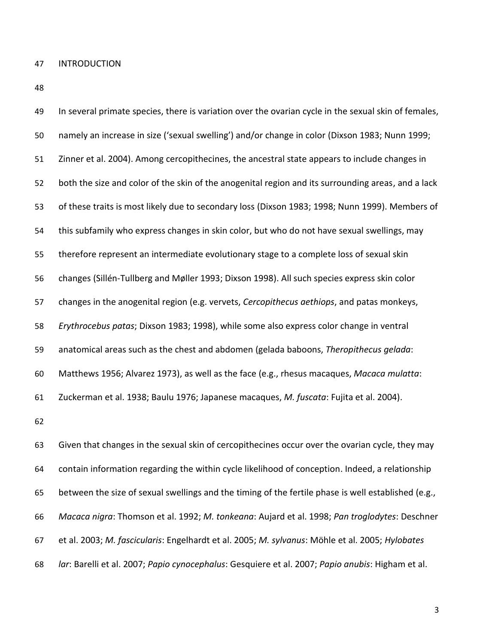INTRODUCTION

 In several primate species, there is variation over the ovarian cycle in the sexual skin of females, namely an increase in size ('sexual swelling') and/or change in color (Dixson 1983; Nunn 1999; Zinner et al. 2004). Among cercopithecines, the ancestral state appears to include changes in both the size and color of the skin of the anogenital region and its surrounding areas, and a lack of these traits is most likely due to secondary loss (Dixson 1983; 1998; Nunn 1999). Members of this subfamily who express changes in skin color, but who do not have sexual swellings, may therefore represent an intermediate evolutionary stage to a complete loss of sexual skin changes (Sillén-Tullberg and Møller 1993; Dixson 1998). All such species express skin color changes in the anogenital region (e.g. vervets, *Cercopithecus aethiops*, and patas monkeys, *Erythrocebus patas*; Dixson 1983; 1998), while some also express color change in ventral anatomical areas such as the chest and abdomen (gelada baboons, *Theropithecus gelada*: Matthews 1956; Alvarez 1973), as well as the face (e.g., rhesus macaques, *Macaca mulatta*: Zuckerman et al. 1938; Baulu 1976; Japanese macaques, *M. fuscata*: Fujita et al. 2004). Given that changes in the sexual skin of cercopithecines occur over the ovarian cycle, they may contain information regarding the within cycle likelihood of conception. Indeed, a relationship between the size of sexual swellings and the timing of the fertile phase is well established (e.g.,

*Macaca nigra*: Thomson et al. 1992; *M. tonkeana*: Aujard et al. 1998; *Pan troglodytes*: Deschner

et al. 2003; *M. fascicularis*: Engelhardt et al. 2005; *M. sylvanus*: Möhle et al. 2005; *Hylobates* 

*lar*: Barelli et al. 2007; *Papio cynocephalus*: Gesquiere et al. 2007; *Papio anubis*: Higham et al.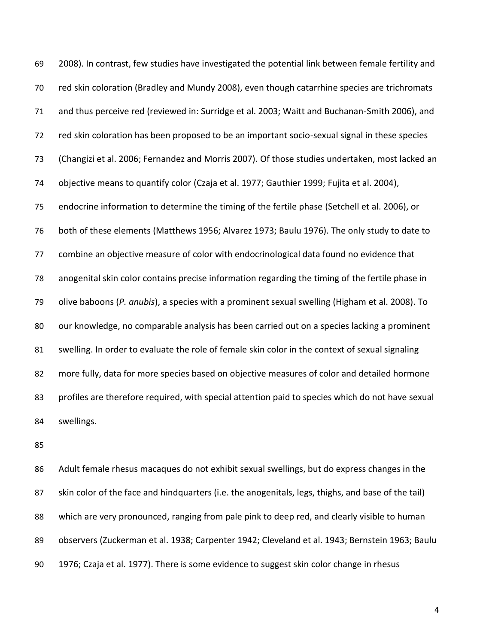2008). In contrast, few studies have investigated the potential link between female fertility and red skin coloration (Bradley and Mundy 2008), even though catarrhine species are trichromats and thus perceive red (reviewed in: Surridge et al. 2003; Waitt and Buchanan-Smith 2006), and red skin coloration has been proposed to be an important socio-sexual signal in these species (Changizi et al. 2006; Fernandez and Morris 2007). Of those studies undertaken, most lacked an objective means to quantify color (Czaja et al. 1977; Gauthier 1999; Fujita et al. 2004), endocrine information to determine the timing of the fertile phase (Setchell et al. 2006), or both of these elements (Matthews 1956; Alvarez 1973; Baulu 1976). The only study to date to combine an objective measure of color with endocrinological data found no evidence that anogenital skin color contains precise information regarding the timing of the fertile phase in olive baboons (*P. anubis*), a species with a prominent sexual swelling (Higham et al. 2008). To 80 our knowledge, no comparable analysis has been carried out on a species lacking a prominent 81 swelling. In order to evaluate the role of female skin color in the context of sexual signaling more fully, data for more species based on objective measures of color and detailed hormone profiles are therefore required, with special attention paid to species which do not have sexual swellings.

 Adult female rhesus macaques do not exhibit sexual swellings, but do express changes in the 87 skin color of the face and hindquarters (i.e. the anogenitals, legs, thighs, and base of the tail) which are very pronounced, ranging from pale pink to deep red, and clearly visible to human observers (Zuckerman et al. 1938; Carpenter 1942; Cleveland et al. 1943; Bernstein 1963; Baulu 1976; Czaja et al. 1977). There is some evidence to suggest skin color change in rhesus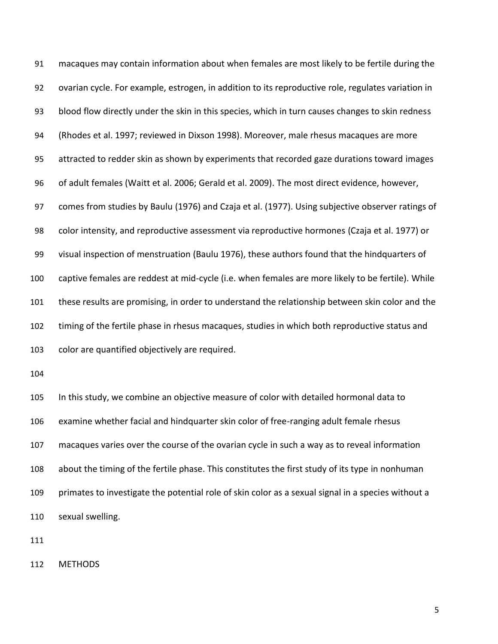macaques may contain information about when females are most likely to be fertile during the ovarian cycle. For example, estrogen, in addition to its reproductive role, regulates variation in blood flow directly under the skin in this species, which in turn causes changes to skin redness (Rhodes et al. 1997; reviewed in Dixson 1998). Moreover, male rhesus macaques are more attracted to redder skin as shown by experiments that recorded gaze durations toward images of adult females (Waitt et al. 2006; Gerald et al. 2009). The most direct evidence, however, comes from studies by Baulu (1976) and Czaja et al. (1977). Using subjective observer ratings of color intensity, and reproductive assessment via reproductive hormones (Czaja et al. 1977) or visual inspection of menstruation (Baulu 1976), these authors found that the hindquarters of captive females are reddest at mid-cycle (i.e. when females are more likely to be fertile). While these results are promising, in order to understand the relationship between skin color and the timing of the fertile phase in rhesus macaques, studies in which both reproductive status and color are quantified objectively are required. In this study, we combine an objective measure of color with detailed hormonal data to examine whether facial and hindquarter skin color of free-ranging adult female rhesus macaques varies over the course of the ovarian cycle in such a way as to reveal information

 about the timing of the fertile phase. This constitutes the first study of its type in nonhuman primates to investigate the potential role of skin color as a sexual signal in a species without a sexual swelling.

METHODS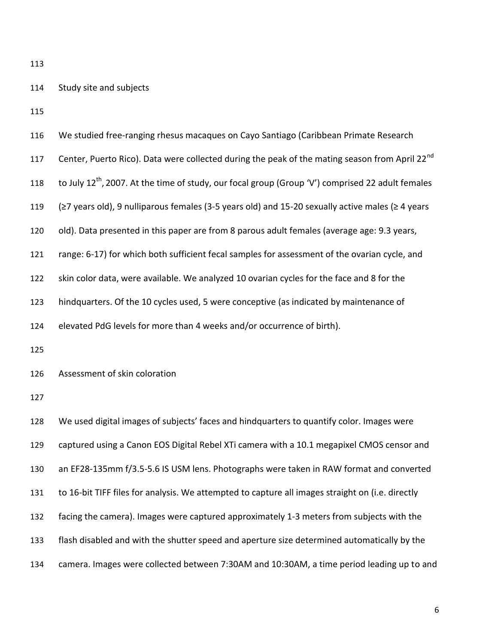| 114 |  |  | Study site and subjects |
|-----|--|--|-------------------------|
|-----|--|--|-------------------------|

| 116 | We studied free-ranging rhesus macaques on Cayo Santiago (Caribbean Primate Research                          |
|-----|---------------------------------------------------------------------------------------------------------------|
| 117 | Center, Puerto Rico). Data were collected during the peak of the mating season from April 22 <sup>nd</sup>    |
| 118 | to July 12 <sup>th</sup> , 2007. At the time of study, our focal group (Group 'V') comprised 22 adult females |
| 119 | (≥7 years old), 9 nulliparous females (3-5 years old) and 15-20 sexually active males (≥ 4 years              |
| 120 | old). Data presented in this paper are from 8 parous adult females (average age: 9.3 years,                   |
| 121 | range: 6-17) for which both sufficient fecal samples for assessment of the ovarian cycle, and                 |
| 122 | skin color data, were available. We analyzed 10 ovarian cycles for the face and 8 for the                     |
| 123 | hindquarters. Of the 10 cycles used, 5 were conceptive (as indicated by maintenance of                        |
| 124 | elevated PdG levels for more than 4 weeks and/or occurrence of birth).                                        |
| 125 |                                                                                                               |
| 126 | Assessment of skin coloration                                                                                 |
| 127 |                                                                                                               |
| 128 | We used digital images of subjects' faces and hindquarters to quantify color. Images were                     |
| 129 | captured using a Canon EOS Digital Rebel XTi camera with a 10.1 megapixel CMOS censor and                     |
| 130 | an EF28-135mm f/3.5-5.6 IS USM lens. Photographs were taken in RAW format and converted                       |
| 131 | to 16-bit TIFF files for analysis. We attempted to capture all images straight on (i.e. directly              |
| 132 | facing the camera). Images were captured approximately 1-3 meters from subjects with the                      |
| 133 | flash disabled and with the shutter speed and aperture size determined automatically by the                   |
| 134 | camera. Images were collected between 7:30AM and 10:30AM, a time period leading up to and                     |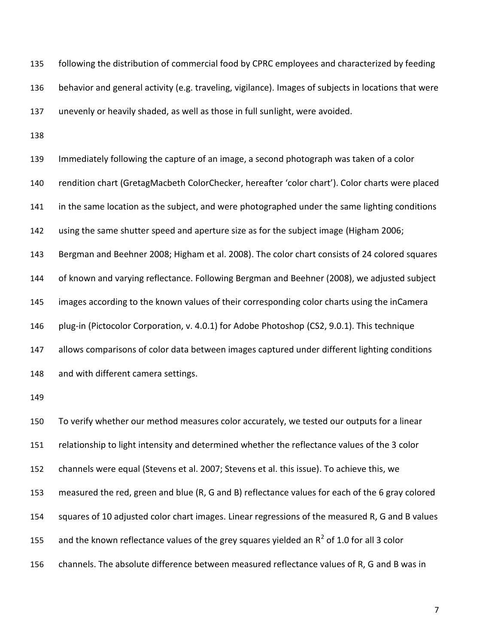following the distribution of commercial food by CPRC employees and characterized by feeding behavior and general activity (e.g. traveling, vigilance). Images of subjects in locations that were unevenly or heavily shaded, as well as those in full sunlight, were avoided.

 Immediately following the capture of an image, a second photograph was taken of a color rendition chart (GretagMacbeth ColorChecker, hereafter 'color chart'). Color charts were placed 141 in the same location as the subject, and were photographed under the same lighting conditions using the same shutter speed and aperture size as for the subject image (Higham 2006; Bergman and Beehner 2008; Higham et al. 2008). The color chart consists of 24 colored squares of known and varying reflectance. Following Bergman and Beehner (2008), we adjusted subject images according to the known values of their corresponding color charts using the inCamera plug-in (Pictocolor Corporation, v. 4.0.1) for Adobe Photoshop (CS2, 9.0.1). This technique allows comparisons of color data between images captured under different lighting conditions and with different camera settings. To verify whether our method measures color accurately, we tested our outputs for a linear relationship to light intensity and determined whether the reflectance values of the 3 color channels were equal (Stevens et al. 2007; Stevens et al. this issue). To achieve this, we measured the red, green and blue (R, G and B) reflectance values for each of the 6 gray colored squares of 10 adjusted color chart images. Linear regressions of the measured R, G and B values 155 and the known reflectance values of the grey squares yielded an  $R^2$  of 1.0 for all 3 color channels. The absolute difference between measured reflectance values of R, G and B was in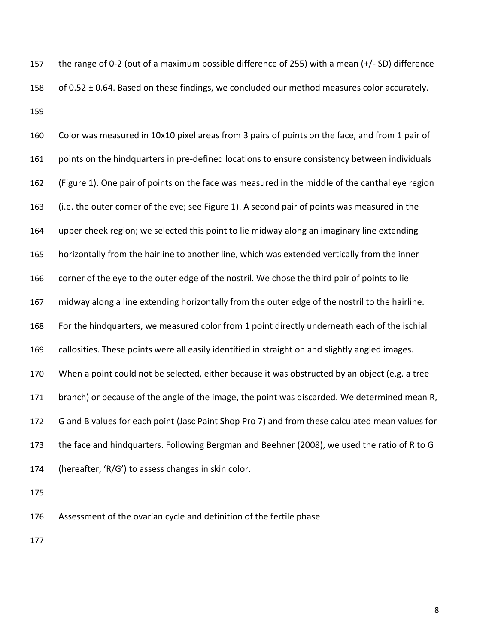the range of 0-2 (out of a maximum possible difference of 255) with a mean (+/- SD) difference 158 of 0.52  $\pm$  0.64. Based on these findings, we concluded our method measures color accurately. 

 Color was measured in 10x10 pixel areas from 3 pairs of points on the face, and from 1 pair of points on the hindquarters in pre-defined locations to ensure consistency between individuals (Figure 1). One pair of points on the face was measured in the middle of the canthal eye region (i.e. the outer corner of the eye; see Figure 1). A second pair of points was measured in the upper cheek region; we selected this point to lie midway along an imaginary line extending horizontally from the hairline to another line, which was extended vertically from the inner corner of the eye to the outer edge of the nostril. We chose the third pair of points to lie midway along a line extending horizontally from the outer edge of the nostril to the hairline. For the hindquarters, we measured color from 1 point directly underneath each of the ischial callosities. These points were all easily identified in straight on and slightly angled images. When a point could not be selected, either because it was obstructed by an object (e.g. a tree branch) or because of the angle of the image, the point was discarded. We determined mean R, G and B values for each point (Jasc Paint Shop Pro 7) and from these calculated mean values for the face and hindquarters. Following Bergman and Beehner (2008), we used the ratio of R to G (hereafter, 'R/G') to assess changes in skin color.

Assessment of the ovarian cycle and definition of the fertile phase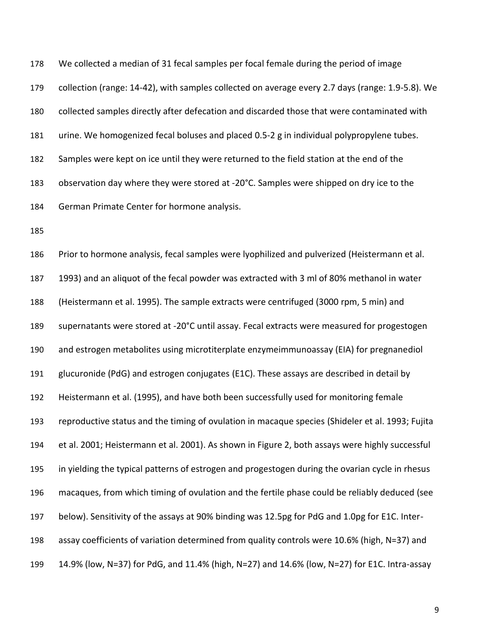We collected a median of 31 fecal samples per focal female during the period of image collection (range: 14-42), with samples collected on average every 2.7 days (range: 1.9-5.8). We collected samples directly after defecation and discarded those that were contaminated with urine. We homogenized fecal boluses and placed 0.5-2 g in individual polypropylene tubes. Samples were kept on ice until they were returned to the field station at the end of the observation day where they were stored at -20°C. Samples were shipped on dry ice to the German Primate Center for hormone analysis.

 Prior to hormone analysis, fecal samples were lyophilized and pulverized (Heistermann et al. 1993) and an aliquot of the fecal powder was extracted with 3 ml of 80% methanol in water (Heistermann et al. 1995). The sample extracts were centrifuged (3000 rpm, 5 min) and supernatants were stored at -20°C until assay. Fecal extracts were measured for progestogen and estrogen metabolites using microtiterplate enzymeimmunoassay (EIA) for pregnanediol glucuronide (PdG) and estrogen conjugates (E1C). These assays are described in detail by Heistermann et al. (1995), and have both been successfully used for monitoring female reproductive status and the timing of ovulation in macaque species (Shideler et al. 1993; Fujita et al. 2001; Heistermann et al. 2001). As shown in Figure 2, both assays were highly successful in yielding the typical patterns of estrogen and progestogen during the ovarian cycle in rhesus macaques, from which timing of ovulation and the fertile phase could be reliably deduced (see below). Sensitivity of the assays at 90% binding was 12.5pg for PdG and 1.0pg for E1C. Inter- assay coefficients of variation determined from quality controls were 10.6% (high, N=37) and 14.9% (low, N=37) for PdG, and 11.4% (high, N=27) and 14.6% (low, N=27) for E1C. Intra-assay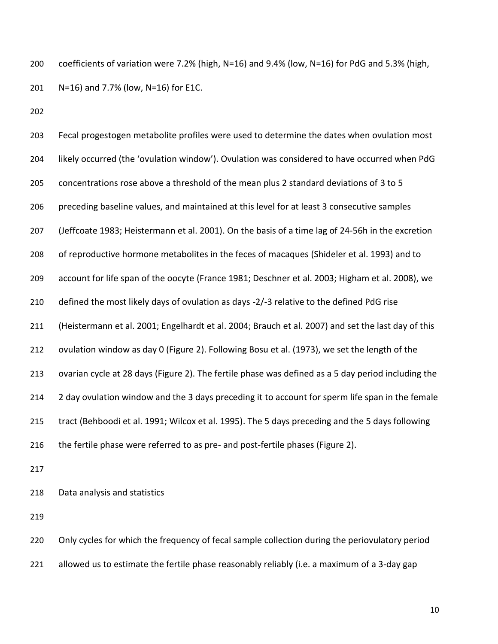coefficients of variation were 7.2% (high, N=16) and 9.4% (low, N=16) for PdG and 5.3% (high, N=16) and 7.7% (low, N=16) for E1C.

 Fecal progestogen metabolite profiles were used to determine the dates when ovulation most likely occurred (the 'ovulation window'). Ovulation was considered to have occurred when PdG concentrations rose above a threshold of the mean plus 2 standard deviations of 3 to 5 preceding baseline values, and maintained at this level for at least 3 consecutive samples (Jeffcoate 1983; Heistermann et al. 2001). On the basis of a time lag of 24-56h in the excretion of reproductive hormone metabolites in the feces of macaques (Shideler et al. 1993) and to account for life span of the oocyte (France 1981; Deschner et al. 2003; Higham et al. 2008), we defined the most likely days of ovulation as days -2/-3 relative to the defined PdG rise (Heistermann et al. 2001; Engelhardt et al. 2004; Brauch et al. 2007) and set the last day of this ovulation window as day 0 (Figure 2). Following Bosu et al. (1973), we set the length of the ovarian cycle at 28 days (Figure 2). The fertile phase was defined as a 5 day period including the 214 2 day ovulation window and the 3 days preceding it to account for sperm life span in the female tract (Behboodi et al. 1991; Wilcox et al. 1995). The 5 days preceding and the 5 days following 216 the fertile phase were referred to as pre- and post-fertile phases (Figure 2). Data analysis and statistics

 Only cycles for which the frequency of fecal sample collection during the periovulatory period allowed us to estimate the fertile phase reasonably reliably (i.e. a maximum of a 3-day gap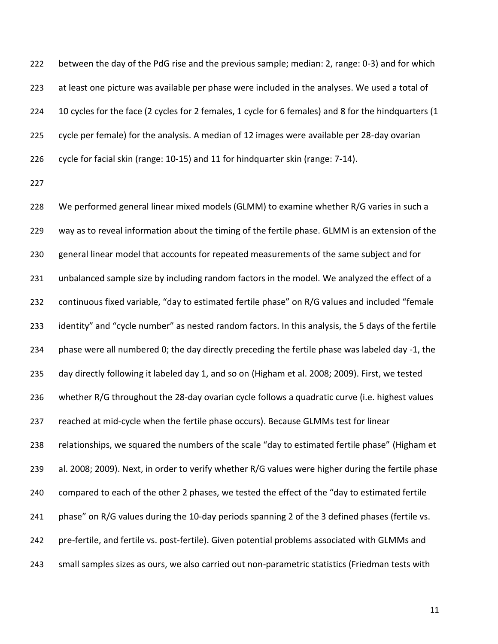between the day of the PdG rise and the previous sample; median: 2, range: 0-3) and for which at least one picture was available per phase were included in the analyses. We used a total of 10 cycles for the face (2 cycles for 2 females, 1 cycle for 6 females) and 8 for the hindquarters (1 cycle per female) for the analysis. A median of 12 images were available per 28-day ovarian cycle for facial skin (range: 10-15) and 11 for hindquarter skin (range: 7-14).

 We performed general linear mixed models (GLMM) to examine whether R/G varies in such a way as to reveal information about the timing of the fertile phase. GLMM is an extension of the general linear model that accounts for repeated measurements of the same subject and for unbalanced sample size by including random factors in the model. We analyzed the effect of a continuous fixed variable, "day to estimated fertile phase" on R/G values and included "female identity" and "cycle number" as nested random factors. In this analysis, the 5 days of the fertile 234 phase were all numbered 0; the day directly preceding the fertile phase was labeled day -1, the day directly following it labeled day 1, and so on (Higham et al. 2008; 2009). First, we tested whether R/G throughout the 28-day ovarian cycle follows a quadratic curve (i.e. highest values reached at mid-cycle when the fertile phase occurs). Because GLMMs test for linear relationships, we squared the numbers of the scale "day to estimated fertile phase" (Higham et al. 2008; 2009). Next, in order to verify whether R/G values were higher during the fertile phase compared to each of the other 2 phases, we tested the effect of the "day to estimated fertile 241 phase" on R/G values during the 10-day periods spanning 2 of the 3 defined phases (fertile vs. pre-fertile, and fertile vs. post-fertile). Given potential problems associated with GLMMs and small samples sizes as ours, we also carried out non-parametric statistics (Friedman tests with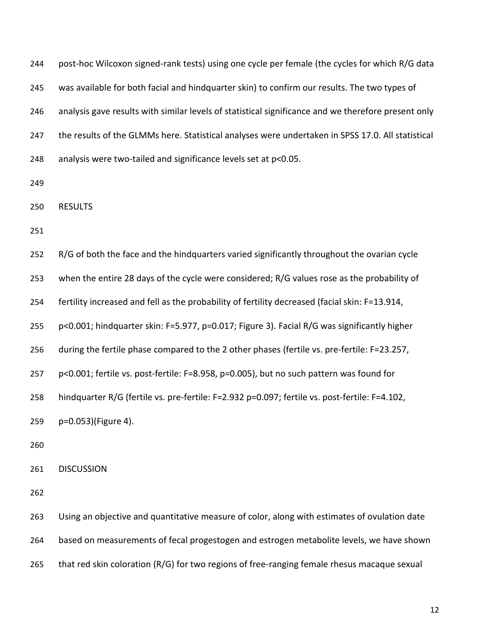| 244 | post-hoc Wilcoxon signed-rank tests) using one cycle per female (the cycles for which R/G data      |
|-----|-----------------------------------------------------------------------------------------------------|
| 245 | was available for both facial and hindquarter skin) to confirm our results. The two types of        |
| 246 | analysis gave results with similar levels of statistical significance and we therefore present only |
| 247 | the results of the GLMMs here. Statistical analyses were undertaken in SPSS 17.0. All statistical   |
| 248 | analysis were two-tailed and significance levels set at p<0.05.                                     |
| 249 |                                                                                                     |
| 250 | <b>RESULTS</b>                                                                                      |
| 251 |                                                                                                     |
| 252 | R/G of both the face and the hindquarters varied significantly throughout the ovarian cycle         |
| 253 | when the entire 28 days of the cycle were considered; R/G values rose as the probability of         |
| 254 | fertility increased and fell as the probability of fertility decreased (facial skin: F=13.914,      |
| 255 | p<0.001; hindquarter skin: F=5.977, p=0.017; Figure 3). Facial R/G was significantly higher         |
| 256 | during the fertile phase compared to the 2 other phases (fertile vs. pre-fertile: F=23.257,         |
| 257 | p<0.001; fertile vs. post-fertile: F=8.958, p=0.005), but no such pattern was found for             |
| 258 | hindquarter R/G (fertile vs. pre-fertile: F=2.932 p=0.097; fertile vs. post-fertile: F=4.102,       |
| 259 | p=0.053)(Figure 4).                                                                                 |
| 260 |                                                                                                     |
| 261 | <b>DISCUSSION</b>                                                                                   |
| 262 |                                                                                                     |
| 263 | Using an objective and quantitative measure of color, along with estimates of ovulation date        |
| 264 | based on measurements of fecal progestogen and estrogen metabolite levels, we have shown            |

that red skin coloration (R/G) for two regions of free-ranging female rhesus macaque sexual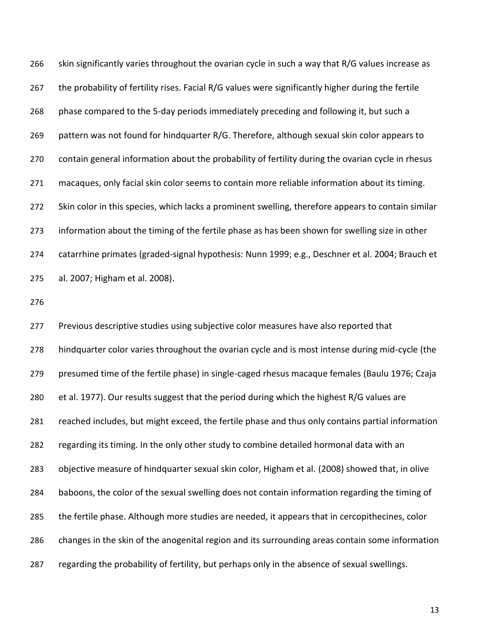skin significantly varies throughout the ovarian cycle in such a way that R/G values increase as the probability of fertility rises. Facial R/G values were significantly higher during the fertile phase compared to the 5-day periods immediately preceding and following it, but such a pattern was not found for hindquarter R/G. Therefore, although sexual skin color appears to contain general information about the probability of fertility during the ovarian cycle in rhesus macaques, only facial skin color seems to contain more reliable information about its timing. Skin color in this species, which lacks a prominent swelling, therefore appears to contain similar information about the timing of the fertile phase as has been shown for swelling size in other catarrhine primates (graded-signal hypothesis: Nunn 1999; e.g., Deschner et al. 2004; Brauch et al. 2007; Higham et al. 2008).

 Previous descriptive studies using subjective color measures have also reported that hindquarter color varies throughout the ovarian cycle and is most intense during mid-cycle (the presumed time of the fertile phase) in single-caged rhesus macaque females (Baulu 1976; Czaja et al. 1977). Our results suggest that the period during which the highest R/G values are reached includes, but might exceed, the fertile phase and thus only contains partial information regarding its timing. In the only other study to combine detailed hormonal data with an objective measure of hindquarter sexual skin color, Higham et al. (2008) showed that, in olive baboons, the color of the sexual swelling does not contain information regarding the timing of 285 the fertile phase. Although more studies are needed, it appears that in cercopithecines, color changes in the skin of the anogenital region and its surrounding areas contain some information regarding the probability of fertility, but perhaps only in the absence of sexual swellings.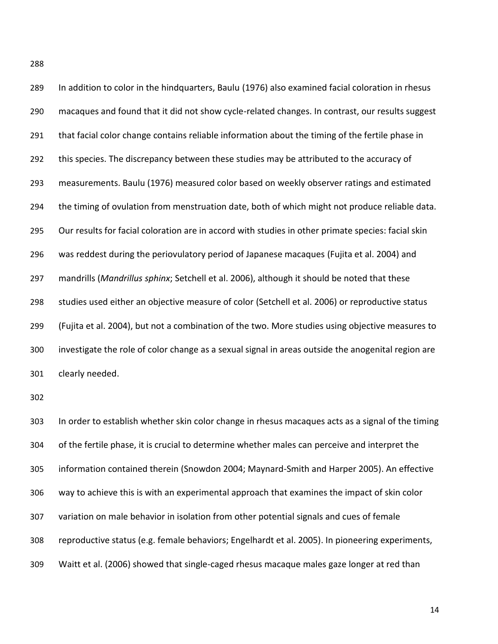In addition to color in the hindquarters, Baulu (1976) also examined facial coloration in rhesus macaques and found that it did not show cycle-related changes. In contrast, our results suggest that facial color change contains reliable information about the timing of the fertile phase in 292 this species. The discrepancy between these studies may be attributed to the accuracy of measurements. Baulu (1976) measured color based on weekly observer ratings and estimated the timing of ovulation from menstruation date, both of which might not produce reliable data. Our results for facial coloration are in accord with studies in other primate species: facial skin was reddest during the periovulatory period of Japanese macaques (Fujita et al. 2004) and mandrills (*Mandrillus sphinx*; Setchell et al. 2006), although it should be noted that these studies used either an objective measure of color (Setchell et al. 2006) or reproductive status (Fujita et al. 2004), but not a combination of the two. More studies using objective measures to investigate the role of color change as a sexual signal in areas outside the anogenital region are clearly needed.

 In order to establish whether skin color change in rhesus macaques acts as a signal of the timing of the fertile phase, it is crucial to determine whether males can perceive and interpret the information contained therein (Snowdon 2004; Maynard-Smith and Harper 2005). An effective way to achieve this is with an experimental approach that examines the impact of skin color variation on male behavior in isolation from other potential signals and cues of female reproductive status (e.g. female behaviors; Engelhardt et al. 2005). In pioneering experiments, Waitt et al. (2006) showed that single-caged rhesus macaque males gaze longer at red than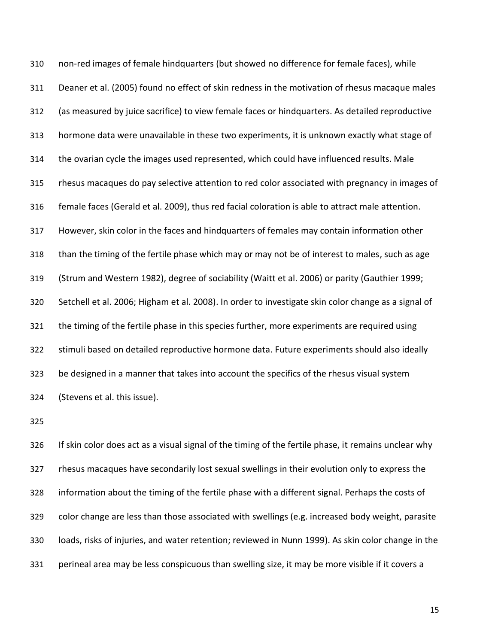non-red images of female hindquarters (but showed no difference for female faces), while Deaner et al. (2005) found no effect of skin redness in the motivation of rhesus macaque males (as measured by juice sacrifice) to view female faces or hindquarters. As detailed reproductive hormone data were unavailable in these two experiments, it is unknown exactly what stage of the ovarian cycle the images used represented, which could have influenced results. Male rhesus macaques do pay selective attention to red color associated with pregnancy in images of female faces (Gerald et al. 2009), thus red facial coloration is able to attract male attention. However, skin color in the faces and hindquarters of females may contain information other than the timing of the fertile phase which may or may not be of interest to males, such as age (Strum and Western 1982), degree of sociability (Waitt et al. 2006) or parity (Gauthier 1999; Setchell et al. 2006; Higham et al. 2008). In order to investigate skin color change as a signal of 321 the timing of the fertile phase in this species further, more experiments are required using stimuli based on detailed reproductive hormone data. Future experiments should also ideally be designed in a manner that takes into account the specifics of the rhesus visual system (Stevens et al. this issue).

 If skin color does act as a visual signal of the timing of the fertile phase, it remains unclear why rhesus macaques have secondarily lost sexual swellings in their evolution only to express the information about the timing of the fertile phase with a different signal. Perhaps the costs of color change are less than those associated with swellings (e.g. increased body weight, parasite loads, risks of injuries, and water retention; reviewed in Nunn 1999). As skin color change in the perineal area may be less conspicuous than swelling size, it may be more visible if it covers a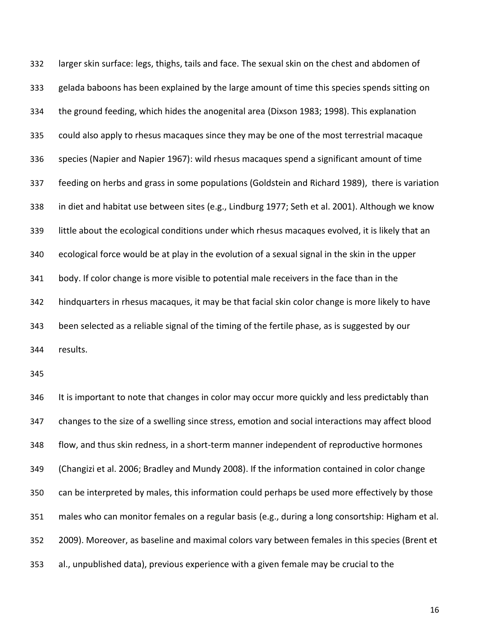larger skin surface: legs, thighs, tails and face. The sexual skin on the chest and abdomen of gelada baboons has been explained by the large amount of time this species spends sitting on the ground feeding, which hides the anogenital area (Dixson 1983; 1998). This explanation could also apply to rhesus macaques since they may be one of the most terrestrial macaque species (Napier and Napier 1967): wild rhesus macaques spend a significant amount of time feeding on herbs and grass in some populations (Goldstein and Richard 1989), there is variation in diet and habitat use between sites (e.g., Lindburg 1977; Seth et al. 2001). Although we know little about the ecological conditions under which rhesus macaques evolved, it is likely that an ecological force would be at play in the evolution of a sexual signal in the skin in the upper body. If color change is more visible to potential male receivers in the face than in the hindquarters in rhesus macaques, it may be that facial skin color change is more likely to have been selected as a reliable signal of the timing of the fertile phase, as is suggested by our results.

346 It is important to note that changes in color may occur more quickly and less predictably than changes to the size of a swelling since stress, emotion and social interactions may affect blood flow, and thus skin redness, in a short-term manner independent of reproductive hormones (Changizi et al. 2006; Bradley and Mundy 2008). If the information contained in color change can be interpreted by males, this information could perhaps be used more effectively by those males who can monitor females on a regular basis (e.g., during a long consortship: Higham et al. 2009). Moreover, as baseline and maximal colors vary between females in this species (Brent et al., unpublished data), previous experience with a given female may be crucial to the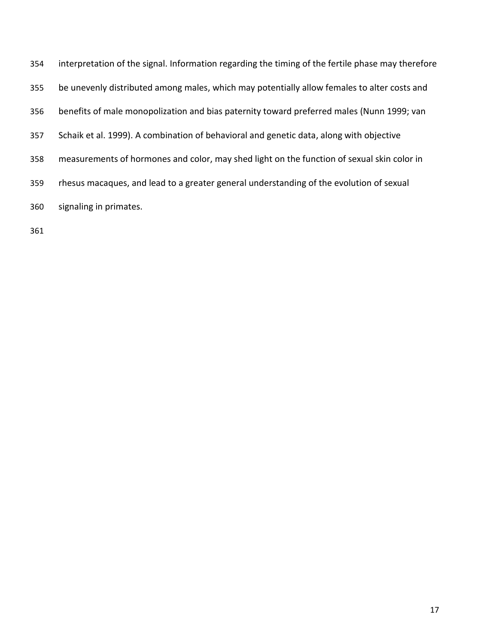| 354 | interpretation of the signal. Information regarding the timing of the fertile phase may therefore |
|-----|---------------------------------------------------------------------------------------------------|
| 355 | be unevenly distributed among males, which may potentially allow females to alter costs and       |
| 356 | benefits of male monopolization and bias paternity toward preferred males (Nunn 1999; van         |
| 357 | Schaik et al. 1999). A combination of behavioral and genetic data, along with objective           |
| 358 | measurements of hormones and color, may shed light on the function of sexual skin color in        |
| 359 | rhesus macaques, and lead to a greater general understanding of the evolution of sexual           |
| 360 | signaling in primates.                                                                            |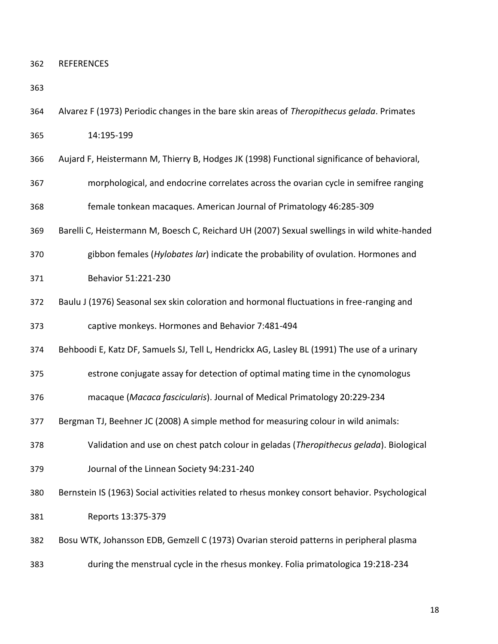REFERENCES

- Alvarez F (1973) Periodic changes in the bare skin areas of *Theropithecus gelada*. Primates 14:195-199
- Aujard F, Heistermann M, Thierry B, Hodges JK (1998) Functional significance of behavioral,
- morphological, and endocrine correlates across the ovarian cycle in semifree ranging female tonkean macaques. American Journal of Primatology 46:285-309
- Barelli C, Heistermann M, Boesch C, Reichard UH (2007) Sexual swellings in wild white-handed
- gibbon females (*Hylobates lar*) indicate the probability of ovulation. Hormones and
- Behavior 51:221-230
- Baulu J (1976) Seasonal sex skin coloration and hormonal fluctuations in free-ranging and

captive monkeys. Hormones and Behavior 7:481-494

Behboodi E, Katz DF, Samuels SJ, Tell L, Hendrickx AG, Lasley BL (1991) The use of a urinary

estrone conjugate assay for detection of optimal mating time in the cynomologus

- macaque (*Macaca fascicularis*). Journal of Medical Primatology 20:229-234
- Bergman TJ, Beehner JC (2008) A simple method for measuring colour in wild animals:
- Validation and use on chest patch colour in geladas (*Theropithecus gelada*). Biological
- Journal of the Linnean Society 94:231-240

Bernstein IS (1963) Social activities related to rhesus monkey consort behavior. Psychological

Reports 13:375-379

Bosu WTK, Johansson EDB, Gemzell C (1973) Ovarian steroid patterns in peripheral plasma

during the menstrual cycle in the rhesus monkey. Folia primatologica 19:218-234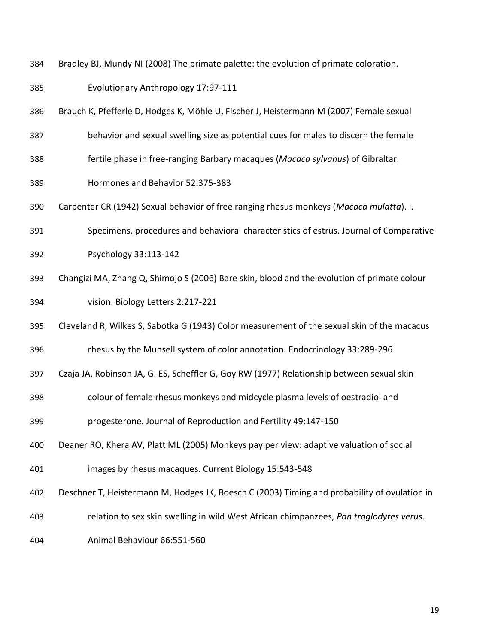- Bradley BJ, Mundy NI (2008) The primate palette: the evolution of primate coloration.
- Evolutionary Anthropology 17:97-111
- Brauch K, Pfefferle D, Hodges K, Möhle U, Fischer J, Heistermann M (2007) Female sexual
- behavior and sexual swelling size as potential cues for males to discern the female
- fertile phase in free-ranging Barbary macaques (*Macaca sylvanus*) of Gibraltar.
- Hormones and Behavior 52:375-383
- Carpenter CR (1942) Sexual behavior of free ranging rhesus monkeys (*Macaca mulatta*). I.
- Specimens, procedures and behavioral characteristics of estrus. Journal of Comparative
- Psychology 33:113-142
- Changizi MA, Zhang Q, Shimojo S (2006) Bare skin, blood and the evolution of primate colour vision. Biology Letters 2:217-221
- Cleveland R, Wilkes S, Sabotka G (1943) Color measurement of the sexual skin of the macacus
- rhesus by the Munsell system of color annotation. Endocrinology 33:289-296
- Czaja JA, Robinson JA, G. ES, Scheffler G, Goy RW (1977) Relationship between sexual skin
- colour of female rhesus monkeys and midcycle plasma levels of oestradiol and
- progesterone. Journal of Reproduction and Fertility 49:147-150
- Deaner RO, Khera AV, Platt ML (2005) Monkeys pay per view: adaptive valuation of social
- images by rhesus macaques. Current Biology 15:543-548
- Deschner T, Heistermann M, Hodges JK, Boesch C (2003) Timing and probability of ovulation in
- relation to sex skin swelling in wild West African chimpanzees, *Pan troglodytes verus*.
- Animal Behaviour 66:551-560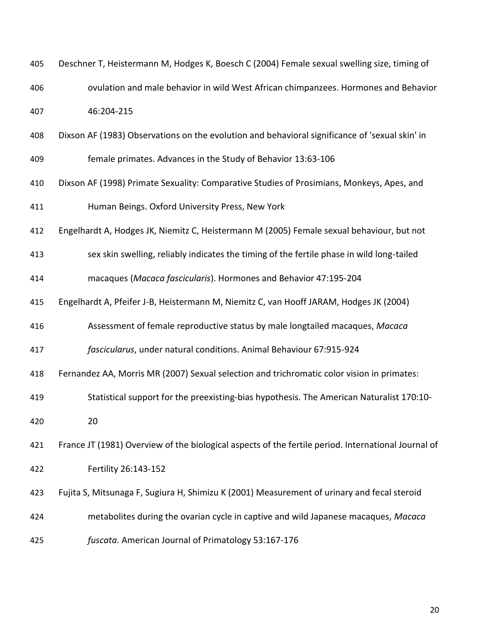| 405 | Deschner T, Heistermann M, Hodges K, Boesch C (2004) Female sexual swelling size, timing of         |
|-----|-----------------------------------------------------------------------------------------------------|
| 406 | ovulation and male behavior in wild West African chimpanzees. Hormones and Behavior                 |
| 407 | 46:204-215                                                                                          |
| 408 | Dixson AF (1983) Observations on the evolution and behavioral significance of 'sexual skin' in      |
| 409 | female primates. Advances in the Study of Behavior 13:63-106                                        |
| 410 | Dixson AF (1998) Primate Sexuality: Comparative Studies of Prosimians, Monkeys, Apes, and           |
| 411 | Human Beings. Oxford University Press, New York                                                     |
| 412 | Engelhardt A, Hodges JK, Niemitz C, Heistermann M (2005) Female sexual behaviour, but not           |
| 413 | sex skin swelling, reliably indicates the timing of the fertile phase in wild long-tailed           |
| 414 | macaques (Macaca fascicularis). Hormones and Behavior 47:195-204                                    |
| 415 | Engelhardt A, Pfeifer J-B, Heistermann M, Niemitz C, van Hooff JARAM, Hodges JK (2004)              |
| 416 | Assessment of female reproductive status by male longtailed macaques, Macaca                        |
| 417 | fascicularus, under natural conditions. Animal Behaviour 67:915-924                                 |
| 418 | Fernandez AA, Morris MR (2007) Sexual selection and trichromatic color vision in primates:          |
| 419 | Statistical support for the preexisting-bias hypothesis. The American Naturalist 170:10-            |
| 420 | 20                                                                                                  |
| 421 | France JT (1981) Overview of the biological aspects of the fertile period. International Journal of |
| 422 | Fertility 26:143-152                                                                                |
| 423 | Fujita S, Mitsunaga F, Sugiura H, Shimizu K (2001) Measurement of urinary and fecal steroid         |
| 424 | metabolites during the ovarian cycle in captive and wild Japanese macaques, Macaca                  |
| 425 | fuscata. American Journal of Primatology 53:167-176                                                 |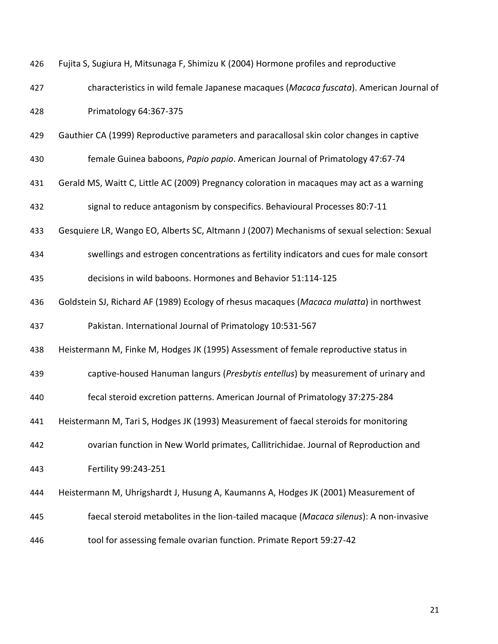| 426 | Fujita S, Sugiura H, Mitsunaga F, Shimizu K (2004) Hormone profiles and reproductive        |
|-----|---------------------------------------------------------------------------------------------|
| 427 | characteristics in wild female Japanese macaques (Macaca fuscata). American Journal of      |
| 428 | Primatology 64:367-375                                                                      |
| 429 | Gauthier CA (1999) Reproductive parameters and paracallosal skin color changes in captive   |
| 430 | female Guinea baboons, Papio papio. American Journal of Primatology 47:67-74                |
| 431 | Gerald MS, Waitt C, Little AC (2009) Pregnancy coloration in macaques may act as a warning  |
| 432 | signal to reduce antagonism by conspecifics. Behavioural Processes 80:7-11                  |
| 433 | Gesquiere LR, Wango EO, Alberts SC, Altmann J (2007) Mechanisms of sexual selection: Sexual |
| 434 | swellings and estrogen concentrations as fertility indicators and cues for male consort     |
| 435 | decisions in wild baboons. Hormones and Behavior 51:114-125                                 |
| 436 | Goldstein SJ, Richard AF (1989) Ecology of rhesus macaques (Macaca mulatta) in northwest    |
| 437 | Pakistan. International Journal of Primatology 10:531-567                                   |
| 438 | Heistermann M, Finke M, Hodges JK (1995) Assessment of female reproductive status in        |
| 439 | captive-housed Hanuman langurs (Presbytis entellus) by measurement of urinary and           |
| 440 | fecal steroid excretion patterns. American Journal of Primatology 37:275-284                |
| 441 | Heistermann M, Tari S, Hodges JK (1993) Measurement of faecal steroids for monitoring       |
| 442 | ovarian function in New World primates, Callitrichidae. Journal of Reproduction and         |
| 443 | Fertility 99:243-251                                                                        |
| 444 | Heistermann M, Uhrigshardt J, Husung A, Kaumanns A, Hodges JK (2001) Measurement of         |
| 445 | faecal steroid metabolites in the lion-tailed macaque (Macaca silenus): A non-invasive      |
| 446 | tool for assessing female ovarian function. Primate Report 59:27-42                         |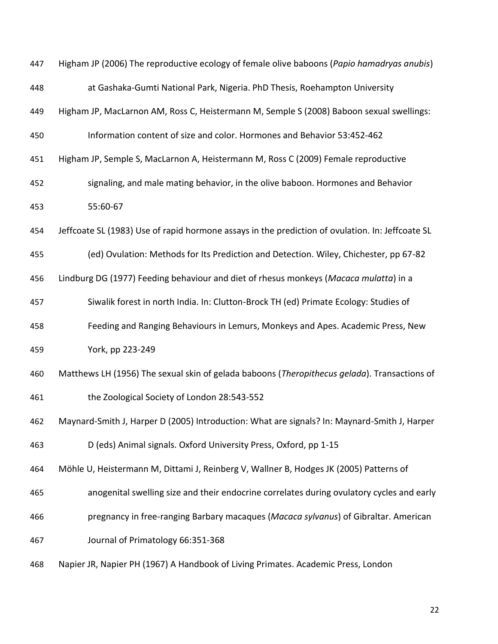| 447 | Higham JP (2006) The reproductive ecology of female olive baboons (Papio hamadryas anubis)       |
|-----|--------------------------------------------------------------------------------------------------|
| 448 | at Gashaka-Gumti National Park, Nigeria. PhD Thesis, Roehampton University                       |
| 449 | Higham JP, MacLarnon AM, Ross C, Heistermann M, Semple S (2008) Baboon sexual swellings:         |
| 450 | Information content of size and color. Hormones and Behavior 53:452-462                          |
| 451 | Higham JP, Semple S, MacLarnon A, Heistermann M, Ross C (2009) Female reproductive               |
| 452 | signaling, and male mating behavior, in the olive baboon. Hormones and Behavior                  |
| 453 | 55:60-67                                                                                         |
| 454 | Jeffcoate SL (1983) Use of rapid hormone assays in the prediction of ovulation. In: Jeffcoate SL |
| 455 | (ed) Ovulation: Methods for Its Prediction and Detection. Wiley, Chichester, pp 67-82            |
| 456 | Lindburg DG (1977) Feeding behaviour and diet of rhesus monkeys (Macaca mulatta) in a            |
| 457 | Siwalik forest in north India. In: Clutton-Brock TH (ed) Primate Ecology: Studies of             |
| 458 | Feeding and Ranging Behaviours in Lemurs, Monkeys and Apes. Academic Press, New                  |
| 459 | York, pp 223-249                                                                                 |
| 460 | Matthews LH (1956) The sexual skin of gelada baboons (Theropithecus gelada). Transactions of     |
| 461 | the Zoological Society of London 28:543-552                                                      |
| 462 | Maynard-Smith J, Harper D (2005) Introduction: What are signals? In: Maynard-Smith J, Harper     |
| 463 | D (eds) Animal signals. Oxford University Press, Oxford, pp 1-15                                 |
| 464 | Möhle U, Heistermann M, Dittami J, Reinberg V, Wallner B, Hodges JK (2005) Patterns of           |
| 465 | anogenital swelling size and their endocrine correlates during ovulatory cycles and early        |
| 466 | pregnancy in free-ranging Barbary macaques (Macaca sylvanus) of Gibraltar. American              |
| 467 | Journal of Primatology 66:351-368                                                                |
| 468 | Napier JR, Napier PH (1967) A Handbook of Living Primates. Academic Press, London                |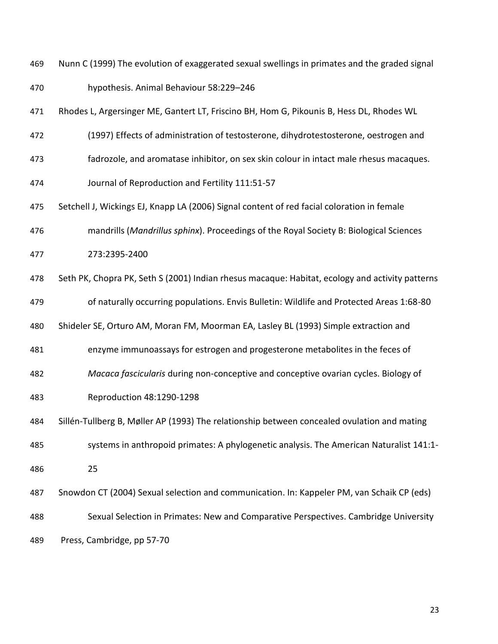Nunn C (1999) The evolution of exaggerated sexual swellings in primates and the graded signal

- hypothesis. Animal Behaviour 58:229–246
- Rhodes L, Argersinger ME, Gantert LT, Friscino BH, Hom G, Pikounis B, Hess DL, Rhodes WL
- (1997) Effects of administration of testosterone, dihydrotestosterone, oestrogen and
- fadrozole, and aromatase inhibitor, on sex skin colour in intact male rhesus macaques.
- Journal of Reproduction and Fertility 111:51-57
- Setchell J, Wickings EJ, Knapp LA (2006) Signal content of red facial coloration in female
- mandrills (*Mandrillus sphinx*). Proceedings of the Royal Society B: Biological Sciences
- 273:2395-2400
- Seth PK, Chopra PK, Seth S (2001) Indian rhesus macaque: Habitat, ecology and activity patterns
- of naturally occurring populations. Envis Bulletin: Wildlife and Protected Areas 1:68-80
- Shideler SE, Orturo AM, Moran FM, Moorman EA, Lasley BL (1993) Simple extraction and
- enzyme immunoassays for estrogen and progesterone metabolites in the feces of
- *Macaca fascicularis* during non-conceptive and conceptive ovarian cycles. Biology of
- Reproduction 48:1290-1298
- Sillén-Tullberg B, Møller AP (1993) The relationship between concealed ovulation and mating systems in anthropoid primates: A phylogenetic analysis. The American Naturalist 141:1-
- 
- 25
- Snowdon CT (2004) Sexual selection and communication. In: Kappeler PM, van Schaik CP (eds) Sexual Selection in Primates: New and Comparative Perspectives. Cambridge University
- Press, Cambridge, pp 57-70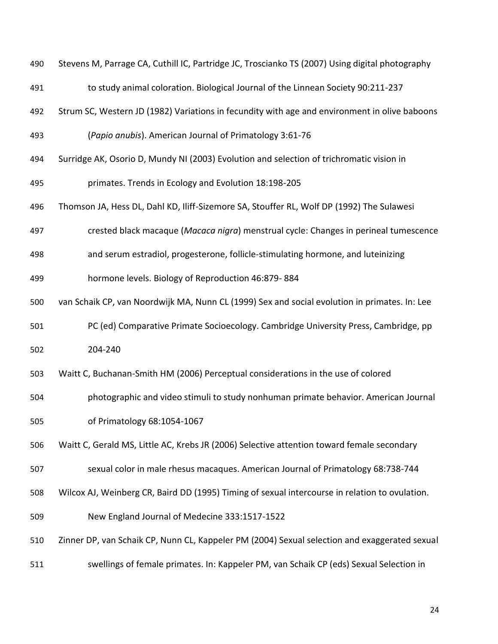| 490 | Stevens M, Parrage CA, Cuthill IC, Partridge JC, Troscianko TS (2007) Using digital photography |
|-----|-------------------------------------------------------------------------------------------------|
| 491 | to study animal coloration. Biological Journal of the Linnean Society 90:211-237                |
| 492 | Strum SC, Western JD (1982) Variations in fecundity with age and environment in olive baboons   |
| 493 | (Papio anubis). American Journal of Primatology 3:61-76                                         |
| 494 | Surridge AK, Osorio D, Mundy NI (2003) Evolution and selection of trichromatic vision in        |
| 495 | primates. Trends in Ecology and Evolution 18:198-205                                            |
| 496 | Thomson JA, Hess DL, Dahl KD, Iliff-Sizemore SA, Stouffer RL, Wolf DP (1992) The Sulawesi       |
| 497 | crested black macaque (Macaca nigra) menstrual cycle: Changes in perineal tumescence            |
| 498 | and serum estradiol, progesterone, follicle-stimulating hormone, and luteinizing                |
| 499 | hormone levels. Biology of Reproduction 46:879-884                                              |
| 500 | van Schaik CP, van Noordwijk MA, Nunn CL (1999) Sex and social evolution in primates. In: Lee   |
| 501 | PC (ed) Comparative Primate Socioecology. Cambridge University Press, Cambridge, pp             |
| 502 | 204-240                                                                                         |
| 503 | Waitt C, Buchanan-Smith HM (2006) Perceptual considerations in the use of colored               |
| 504 | photographic and video stimuli to study nonhuman primate behavior. American Journal             |
| 505 | of Primatology 68:1054-1067                                                                     |
| 506 | Waitt C, Gerald MS, Little AC, Krebs JR (2006) Selective attention toward female secondary      |
| 507 | sexual color in male rhesus macaques. American Journal of Primatology 68:738-744                |
| 508 | Wilcox AJ, Weinberg CR, Baird DD (1995) Timing of sexual intercourse in relation to ovulation.  |
| 509 | New England Journal of Medecine 333:1517-1522                                                   |
| 510 | Zinner DP, van Schaik CP, Nunn CL, Kappeler PM (2004) Sexual selection and exaggerated sexual   |
| 511 | swellings of female primates. In: Kappeler PM, van Schaik CP (eds) Sexual Selection in          |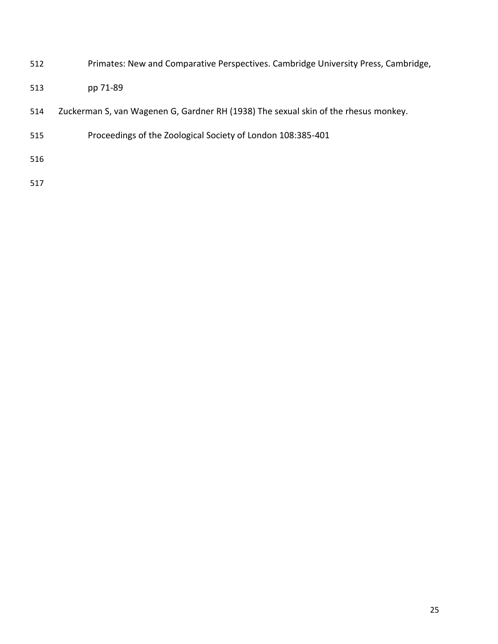- Primates: New and Comparative Perspectives. Cambridge University Press, Cambridge,
- pp 71-89
- Zuckerman S, van Wagenen G, Gardner RH (1938) The sexual skin of the rhesus monkey.
- Proceedings of the Zoological Society of London 108:385-401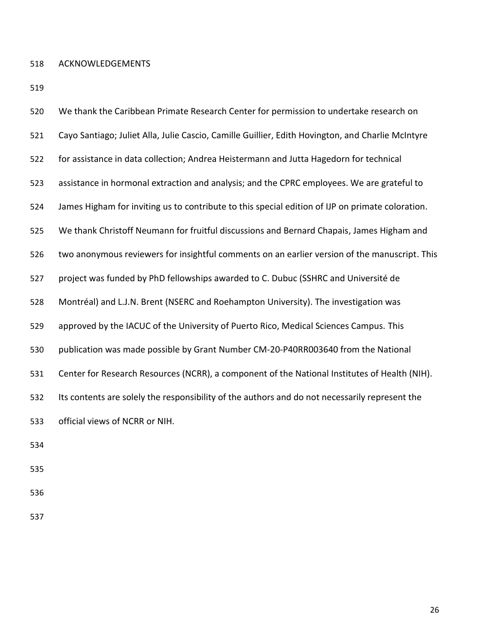ACKNOWLEDGEMENTS

| 520 | We thank the Caribbean Primate Research Center for permission to undertake research on            |
|-----|---------------------------------------------------------------------------------------------------|
| 521 | Cayo Santiago; Juliet Alla, Julie Cascio, Camille Guillier, Edith Hovington, and Charlie McIntyre |
| 522 | for assistance in data collection; Andrea Heistermann and Jutta Hagedorn for technical            |
| 523 | assistance in hormonal extraction and analysis; and the CPRC employees. We are grateful to        |
| 524 | James Higham for inviting us to contribute to this special edition of IJP on primate coloration.  |
| 525 | We thank Christoff Neumann for fruitful discussions and Bernard Chapais, James Higham and         |
| 526 | two anonymous reviewers for insightful comments on an earlier version of the manuscript. This     |
| 527 | project was funded by PhD fellowships awarded to C. Dubuc (SSHRC and Université de                |
| 528 | Montréal) and L.J.N. Brent (NSERC and Roehampton University). The investigation was               |
| 529 | approved by the IACUC of the University of Puerto Rico, Medical Sciences Campus. This             |
| 530 | publication was made possible by Grant Number CM-20-P40RR003640 from the National                 |
| 531 | Center for Research Resources (NCRR), a component of the National Institutes of Health (NIH).     |
| 532 | Its contents are solely the responsibility of the authors and do not necessarily represent the    |
| 533 | official views of NCRR or NIH.                                                                    |
| 534 |                                                                                                   |
| 535 |                                                                                                   |
| 536 |                                                                                                   |
|     |                                                                                                   |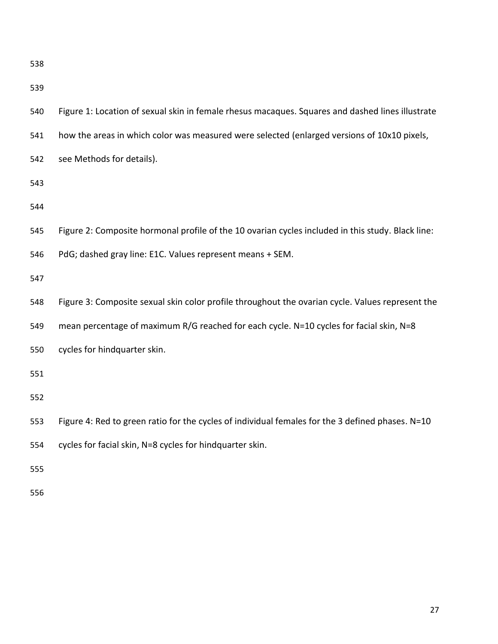| 540 | Figure 1: Location of sexual skin in female rhesus macaques. Squares and dashed lines illustrate  |
|-----|---------------------------------------------------------------------------------------------------|
| 541 | how the areas in which color was measured were selected (enlarged versions of 10x10 pixels,       |
| 542 | see Methods for details).                                                                         |
| 543 |                                                                                                   |
| 544 |                                                                                                   |
| 545 | Figure 2: Composite hormonal profile of the 10 ovarian cycles included in this study. Black line: |
| 546 | PdG; dashed gray line: E1C. Values represent means + SEM.                                         |
| 547 |                                                                                                   |
| 548 | Figure 3: Composite sexual skin color profile throughout the ovarian cycle. Values represent the  |
| 549 | mean percentage of maximum R/G reached for each cycle. N=10 cycles for facial skin, N=8           |
| 550 | cycles for hindquarter skin.                                                                      |
| 551 |                                                                                                   |
| 552 |                                                                                                   |
| 553 | Figure 4: Red to green ratio for the cycles of individual females for the 3 defined phases. N=10  |
| 554 | cycles for facial skin, N=8 cycles for hindquarter skin.                                          |
| 555 |                                                                                                   |
|     |                                                                                                   |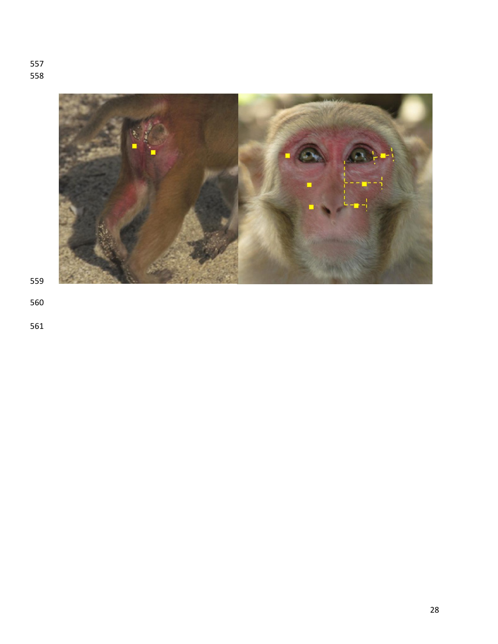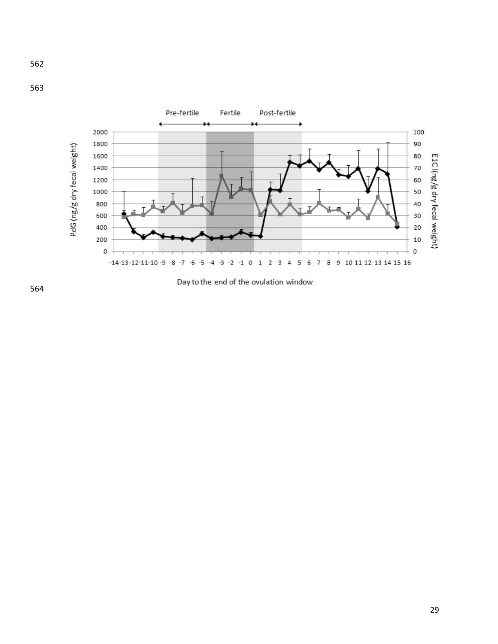





Day to the end of the ovulation window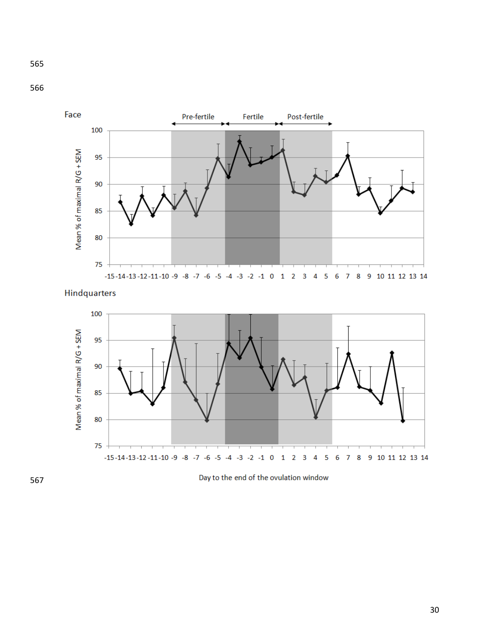



**Hindquarters** 



Day to the end of the ovulation window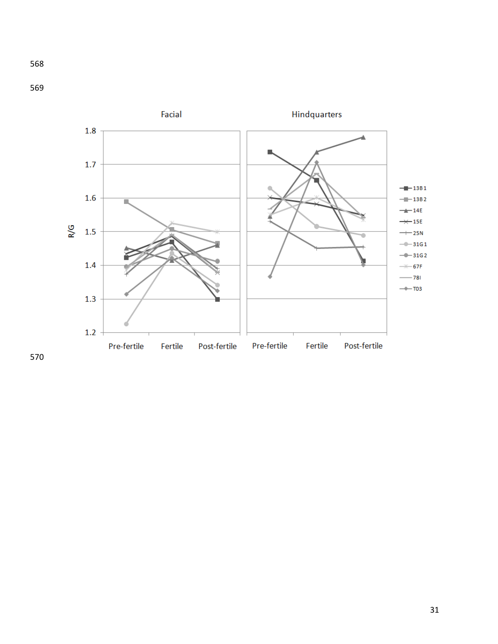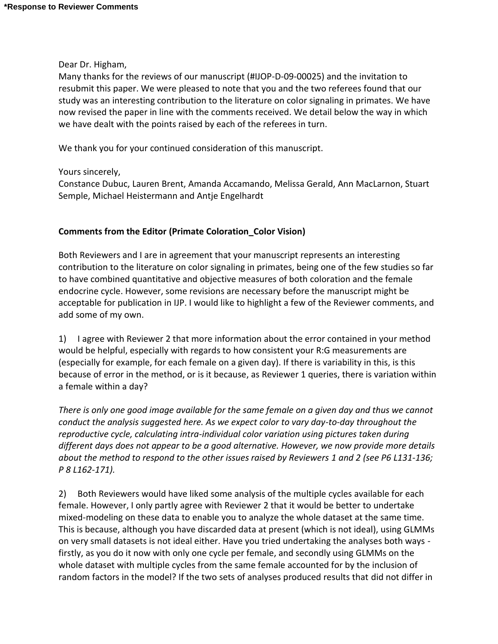Dear Dr. Higham,

Many thanks for the reviews of our manuscript (#IJOP-D-09-00025) and the invitation to resubmit this paper. We were pleased to note that you and the two referees found that our study was an interesting contribution to the literature on color signaling in primates. We have now revised the paper in line with the comments received. We detail below the way in which we have dealt with the points raised by each of the referees in turn.

We thank you for your continued consideration of this manuscript.

Yours sincerely,

Constance Dubuc, Lauren Brent, Amanda Accamando, Melissa Gerald, Ann MacLarnon, Stuart Semple, Michael Heistermann and Antje Engelhardt

#### **Comments from the Editor (Primate Coloration\_Color Vision)**

Both Reviewers and I are in agreement that your manuscript represents an interesting contribution to the literature on color signaling in primates, being one of the few studies so far to have combined quantitative and objective measures of both coloration and the female endocrine cycle. However, some revisions are necessary before the manuscript might be acceptable for publication in IJP. I would like to highlight a few of the Reviewer comments, and add some of my own.

1) I agree with Reviewer 2 that more information about the error contained in your method would be helpful, especially with regards to how consistent your R:G measurements are (especially for example, for each female on a given day). If there is variability in this, is this because of error in the method, or is it because, as Reviewer 1 queries, there is variation within a female within a day?

*There is only one good image available for the same female on a given day and thus we cannot conduct the analysis suggested here. As we expect color to vary day-to-day throughout the reproductive cycle, calculating intra-individual color variation using pictures taken during different days does not appear to be a good alternative. However, we now provide more details about the method to respond to the other issues raised by Reviewers 1 and 2 (see P6 L131-136; P 8 L162-171).* 

2) Both Reviewers would have liked some analysis of the multiple cycles available for each female. However, I only partly agree with Reviewer 2 that it would be better to undertake mixed-modeling on these data to enable you to analyze the whole dataset at the same time. This is because, although you have discarded data at present (which is not ideal), using GLMMs on very small datasets is not ideal either. Have you tried undertaking the analyses both ways firstly, as you do it now with only one cycle per female, and secondly using GLMMs on the whole dataset with multiple cycles from the same female accounted for by the inclusion of random factors in the model? If the two sets of analyses produced results that did not differ in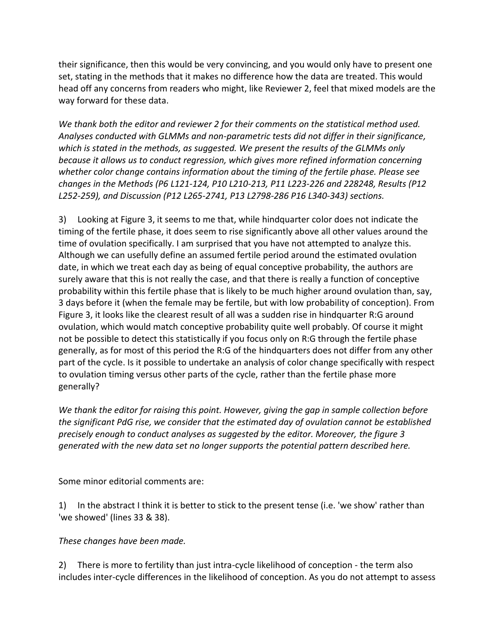their significance, then this would be very convincing, and you would only have to present one set, stating in the methods that it makes no difference how the data are treated. This would head off any concerns from readers who might, like Reviewer 2, feel that mixed models are the way forward for these data.

*We thank both the editor and reviewer 2 for their comments on the statistical method used. Analyses conducted with GLMMs and non-parametric tests did not differ in their significance, which is stated in the methods, as suggested. We present the results of the GLMMs only because it allows us to conduct regression, which gives more refined information concerning whether color change contains information about the timing of the fertile phase. Please see changes in the Methods (P6 L121-124, P10 L210-213, P11 L223-226 and 228248, Results (P12 L252-259), and Discussion (P12 L265-2741, P13 L2798-286 P16 L340-343) sections.*

3) Looking at Figure 3, it seems to me that, while hindquarter color does not indicate the timing of the fertile phase, it does seem to rise significantly above all other values around the time of ovulation specifically. I am surprised that you have not attempted to analyze this. Although we can usefully define an assumed fertile period around the estimated ovulation date, in which we treat each day as being of equal conceptive probability, the authors are surely aware that this is not really the case, and that there is really a function of conceptive probability within this fertile phase that is likely to be much higher around ovulation than, say, 3 days before it (when the female may be fertile, but with low probability of conception). From Figure 3, it looks like the clearest result of all was a sudden rise in hindquarter R:G around ovulation, which would match conceptive probability quite well probably. Of course it might not be possible to detect this statistically if you focus only on R:G through the fertile phase generally, as for most of this period the R:G of the hindquarters does not differ from any other part of the cycle. Is it possible to undertake an analysis of color change specifically with respect to ovulation timing versus other parts of the cycle, rather than the fertile phase more generally?

*We thank the editor for raising this point. However, giving the gap in sample collection before the significant PdG rise, we consider that the estimated day of ovulation cannot be established precisely enough to conduct analyses as suggested by the editor. Moreover, the figure 3 generated with the new data set no longer supports the potential pattern described here.*

Some minor editorial comments are:

1) In the abstract I think it is better to stick to the present tense (i.e. 'we show' rather than 'we showed' (lines 33 & 38).

*These changes have been made.*

2) There is more to fertility than just intra-cycle likelihood of conception - the term also includes inter-cycle differences in the likelihood of conception. As you do not attempt to assess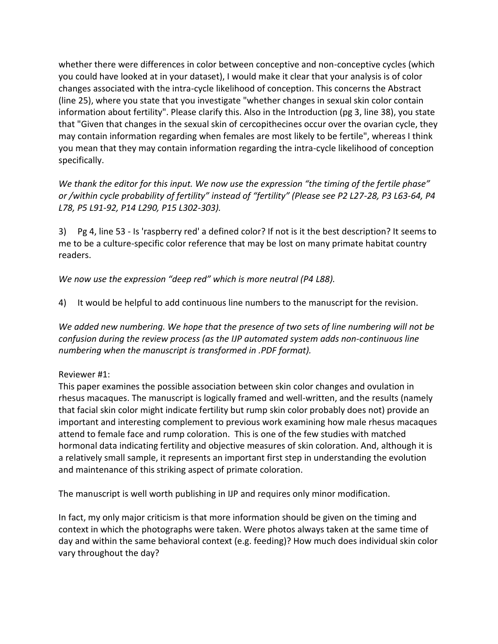whether there were differences in color between conceptive and non-conceptive cycles (which you could have looked at in your dataset), I would make it clear that your analysis is of color changes associated with the intra-cycle likelihood of conception. This concerns the Abstract (line 25), where you state that you investigate "whether changes in sexual skin color contain information about fertility". Please clarify this. Also in the Introduction (pg 3, line 38), you state that "Given that changes in the sexual skin of cercopithecines occur over the ovarian cycle, they may contain information regarding when females are most likely to be fertile", whereas I think you mean that they may contain information regarding the intra-cycle likelihood of conception specifically.

*We thank the editor for this input. We now use the expression "the timing of the fertile phase" or /within cycle probability of fertility" instead of "fertility" (Please see P2 L27-28, P3 L63-64, P4 L78, P5 L91-92, P14 L290, P15 L302-303).* 

3) Pg 4, line 53 - Is 'raspberry red' a defined color? If not is it the best description? It seems to me to be a culture-specific color reference that may be lost on many primate habitat country readers.

*We now use the expression "deep red" which is more neutral (P4 L88).* 

4) It would be helpful to add continuous line numbers to the manuscript for the revision.

*We added new numbering. We hope that the presence of two sets of line numbering will not be confusion during the review process (as the IJP automated system adds non-continuous line numbering when the manuscript is transformed in .PDF format).*

## Reviewer #1:

This paper examines the possible association between skin color changes and ovulation in rhesus macaques. The manuscript is logically framed and well-written, and the results (namely that facial skin color might indicate fertility but rump skin color probably does not) provide an important and interesting complement to previous work examining how male rhesus macaques attend to female face and rump coloration. This is one of the few studies with matched hormonal data indicating fertility and objective measures of skin coloration. And, although it is a relatively small sample, it represents an important first step in understanding the evolution and maintenance of this striking aspect of primate coloration.

The manuscript is well worth publishing in IJP and requires only minor modification.

In fact, my only major criticism is that more information should be given on the timing and context in which the photographs were taken. Were photos always taken at the same time of day and within the same behavioral context (e.g. feeding)? How much does individual skin color vary throughout the day?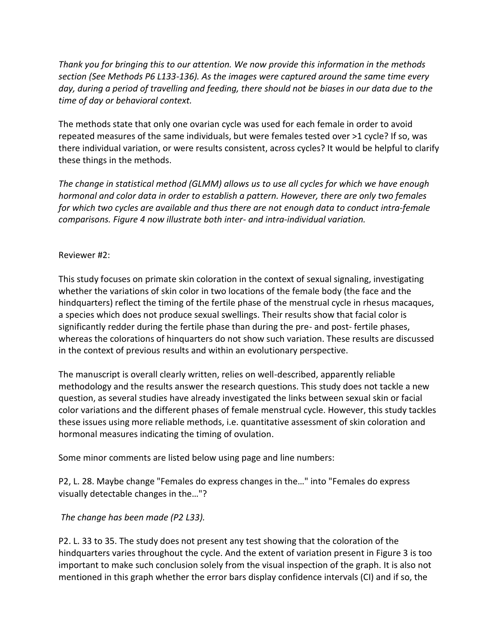*Thank you for bringing this to our attention. We now provide this information in the methods section (See Methods P6 L133-136). As the images were captured around the same time every day, during a period of travelling and feeding, there should not be biases in our data due to the time of day or behavioral context.* 

The methods state that only one ovarian cycle was used for each female in order to avoid repeated measures of the same individuals, but were females tested over >1 cycle? If so, was there individual variation, or were results consistent, across cycles? It would be helpful to clarify these things in the methods.

*The change in statistical method (GLMM) allows us to use all cycles for which we have enough hormonal and color data in order to establish a pattern. However, there are only two females for which two cycles are available and thus there are not enough data to conduct intra-female comparisons. Figure 4 now illustrate both inter- and intra-individual variation.* 

#### Reviewer #2:

This study focuses on primate skin coloration in the context of sexual signaling, investigating whether the variations of skin color in two locations of the female body (the face and the hindquarters) reflect the timing of the fertile phase of the menstrual cycle in rhesus macaques, a species which does not produce sexual swellings. Their results show that facial color is significantly redder during the fertile phase than during the pre- and post- fertile phases, whereas the colorations of hinquarters do not show such variation. These results are discussed in the context of previous results and within an evolutionary perspective.

The manuscript is overall clearly written, relies on well-described, apparently reliable methodology and the results answer the research questions. This study does not tackle a new question, as several studies have already investigated the links between sexual skin or facial color variations and the different phases of female menstrual cycle. However, this study tackles these issues using more reliable methods, i.e. quantitative assessment of skin coloration and hormonal measures indicating the timing of ovulation.

Some minor comments are listed below using page and line numbers:

P2, L. 28. Maybe change "Females do express changes in the…" into "Females do express visually detectable changes in the…"?

## *The change has been made (P2 L33).*

P2. L. 33 to 35. The study does not present any test showing that the coloration of the hindquarters varies throughout the cycle. And the extent of variation present in Figure 3 is too important to make such conclusion solely from the visual inspection of the graph. It is also not mentioned in this graph whether the error bars display confidence intervals (CI) and if so, the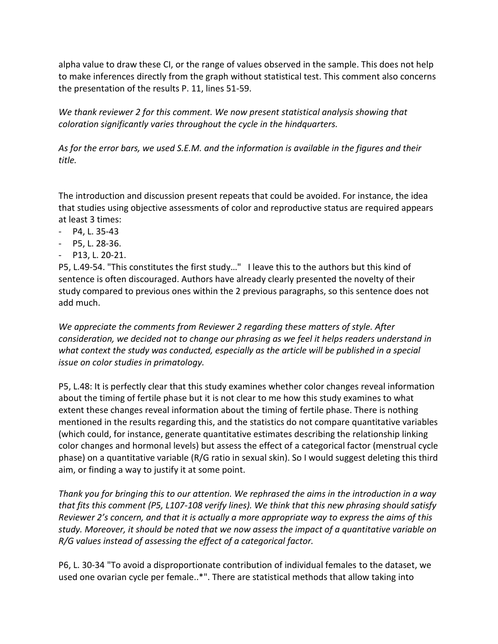alpha value to draw these CI, or the range of values observed in the sample. This does not help to make inferences directly from the graph without statistical test. This comment also concerns the presentation of the results P. 11, lines 51-59.

*We thank reviewer 2 for this comment. We now present statistical analysis showing that coloration significantly varies throughout the cycle in the hindquarters.* 

*As for the error bars, we used S.E.M. and the information is available in the figures and their title.*

The introduction and discussion present repeats that could be avoided. For instance, the idea that studies using objective assessments of color and reproductive status are required appears at least 3 times:

- P4, L. 35-43
- P5, L. 28-36.
- P13, L. 20-21.

P5, L.49-54. "This constitutes the first study…" I leave this to the authors but this kind of sentence is often discouraged. Authors have already clearly presented the novelty of their study compared to previous ones within the 2 previous paragraphs, so this sentence does not add much.

*We appreciate the comments from Reviewer 2 regarding these matters of style. After consideration, we decided not to change our phrasing as we feel it helps readers understand in what context the study was conducted, especially as the article will be published in a special issue on color studies in primatology.* 

P5, L.48: It is perfectly clear that this study examines whether color changes reveal information about the timing of fertile phase but it is not clear to me how this study examines to what extent these changes reveal information about the timing of fertile phase. There is nothing mentioned in the results regarding this, and the statistics do not compare quantitative variables (which could, for instance, generate quantitative estimates describing the relationship linking color changes and hormonal levels) but assess the effect of a categorical factor (menstrual cycle phase) on a quantitative variable (R/G ratio in sexual skin). So I would suggest deleting this third aim, or finding a way to justify it at some point.

*Thank you for bringing this to our attention. We rephrased the aims in the introduction in a way that fits this comment (P5, L107-108 verify lines). We think that this new phrasing should satisfy Reviewer 2's concern, and that it is actually a more appropriate way to express the aims of this study. Moreover, it should be noted that we now assess the impact of a quantitative variable on R/G values instead of assessing the effect of a categorical factor.* 

P6, L. 30-34 "To avoid a disproportionate contribution of individual females to the dataset, we used one ovarian cycle per female..\*". There are statistical methods that allow taking into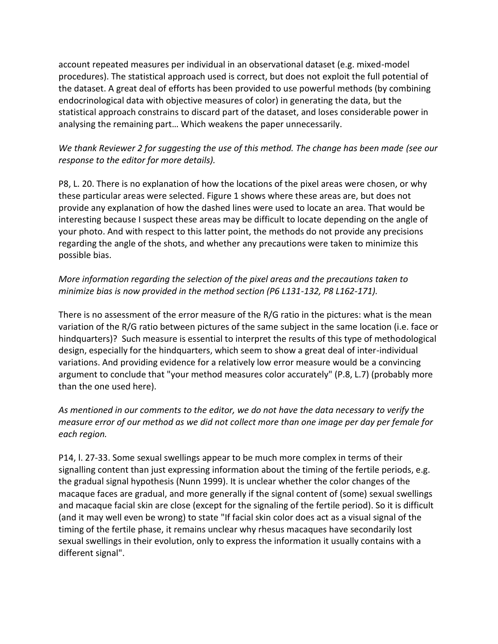account repeated measures per individual in an observational dataset (e.g. mixed-model procedures). The statistical approach used is correct, but does not exploit the full potential of the dataset. A great deal of efforts has been provided to use powerful methods (by combining endocrinological data with objective measures of color) in generating the data, but the statistical approach constrains to discard part of the dataset, and loses considerable power in analysing the remaining part… Which weakens the paper unnecessarily.

# *We thank Reviewer 2 for suggesting the use of this method. The change has been made (see our response to the editor for more details).*

P8, L. 20. There is no explanation of how the locations of the pixel areas were chosen, or why these particular areas were selected. Figure 1 shows where these areas are, but does not provide any explanation of how the dashed lines were used to locate an area. That would be interesting because I suspect these areas may be difficult to locate depending on the angle of your photo. And with respect to this latter point, the methods do not provide any precisions regarding the angle of the shots, and whether any precautions were taken to minimize this possible bias.

# *More information regarding the selection of the pixel areas and the precautions taken to minimize bias is now provided in the method section (P6 L131-132, P8 L162-171).*

There is no assessment of the error measure of the R/G ratio in the pictures: what is the mean variation of the R/G ratio between pictures of the same subject in the same location (i.e. face or hindquarters)? Such measure is essential to interpret the results of this type of methodological design, especially for the hindquarters, which seem to show a great deal of inter-individual variations. And providing evidence for a relatively low error measure would be a convincing argument to conclude that "your method measures color accurately" (P.8, L.7) (probably more than the one used here).

# *As mentioned in our comments to the editor, we do not have the data necessary to verify the measure error of our method as we did not collect more than one image per day per female for each region.*

P14, l. 27-33. Some sexual swellings appear to be much more complex in terms of their signalling content than just expressing information about the timing of the fertile periods, e.g. the gradual signal hypothesis (Nunn 1999). It is unclear whether the color changes of the macaque faces are gradual, and more generally if the signal content of (some) sexual swellings and macaque facial skin are close (except for the signaling of the fertile period). So it is difficult (and it may well even be wrong) to state "If facial skin color does act as a visual signal of the timing of the fertile phase, it remains unclear why rhesus macaques have secondarily lost sexual swellings in their evolution, only to express the information it usually contains with a different signal".